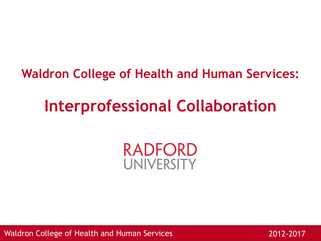### **Waldron College of Health and Human Services:**

# **Interprofessional Collaboration**

### RADFORD UNIVERSITY

Waldron College of Health and Human Services

2012-2017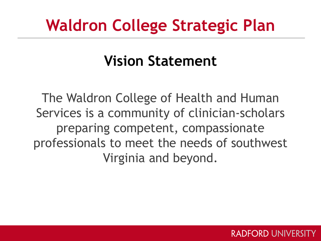# **Waldron College Strategic Plan**

### **Vision Statement**

The Waldron College of Health and Human Services is a community of clinician-scholars preparing competent, compassionate professionals to meet the needs of southwest Virginia and beyond.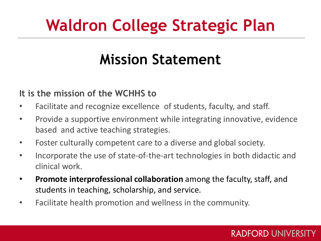# **Waldron College Strategic Plan**

## **Mission Statement**

#### **It is the mission of the WCHHS to**

- Facilitate and recognize excellence of students, faculty, and staff.
- Provide a supportive environment while integrating innovative, evidence based and active teaching strategies.
- Foster culturally competent care to a diverse and global society.
- Incorporate the use of state-of-the-art technologies in both didactic and clinical work.
- **Promote interprofessional collaboration** among the faculty, staff, and students in teaching, scholarship, and service.
- Facilitate health promotion and wellness in the community.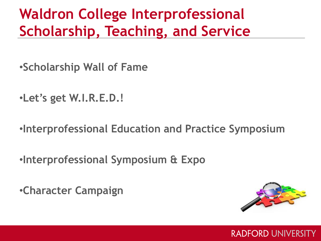## **Waldron College Interprofessional Scholarship, Teaching, and Service**

- •**Scholarship Wall of Fame**
- •**Let's get W.I.R.E.D.!**
- •**Interprofessional Education and Practice Symposium**
- •**Interprofessional Symposium & Expo**
- •**Character Campaign**

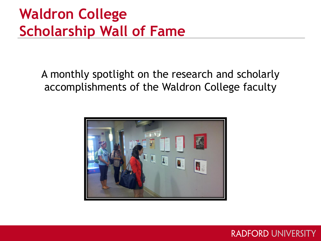## **Waldron College Scholarship Wall of Fame**

A monthly spotlight on the research and scholarly accomplishments of the Waldron College faculty

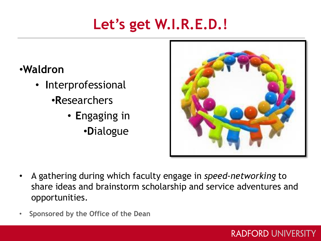## **Let's get W.I.R.E.D.!**

### •**Waldron**

- **I**nterprofessional •**R**esearchers
	- **E**ngaging in •**D**ialogue



- A gathering during which faculty engage in *speed-networking* to share ideas and brainstorm scholarship and service adventures and opportunities.
- **Sponsored by the Office of the Dean**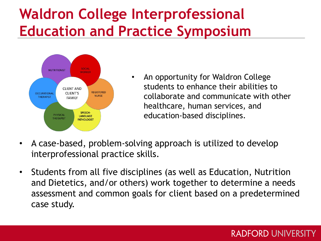## **Waldron College Interprofessional Education and Practice Symposium**



- An opportunity for Waldron College students to enhance their abilities to collaborate and communicate with other healthcare, human services, and education-based disciplines.
- A case-based, problem-solving approach is utilized to develop interprofessional practice skills.
- Students from all five disciplines (as well as Education, Nutrition and Dietetics, and/or others) work together to determine a needs assessment and common goals for client based on a predetermined case study.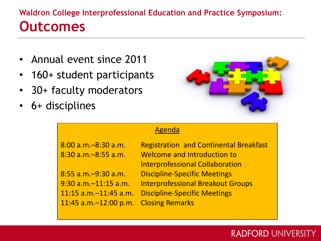### **Waldron College Interprofessional Education and Practice Symposium: Outcomes**

- Annual event since 2011
- 160+ student participants
- 30+ faculty moderators
- 6+ disciplines



#### Agenda

| 8:00 a.m.–8:30 a.m.   |  |
|-----------------------|--|
| 8:30 a.m. - 8:55 a.m. |  |

11:45 a.m.–12:00 p.m. Closing Remarks

Registration and Continental Breakfast Welcome and Introduction to Interprofessional Collaboration 8:55 a.m.–9:30 a.m. Discipline-Specific Meetings 9:30 a.m.–11:15 a.m. Interprofessional Breakout Groups 11:15 a.m.–11:45 a.m. Discipline-Specific Meetings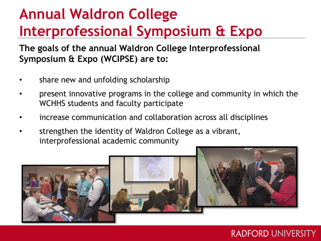## **Annual Waldron College Interprofessional Symposium & Expo**

**The goals of the annual Waldron College Interprofessional Symposium & Expo (WCIPSE) are to:**

- share new and unfolding scholarship
- present innovative programs in the college and community in which the WCHHS students and faculty participate
- increase communication and collaboration across all disciplines
- strengthen the identity of Waldron College as a vibrant, interprofessional academic community

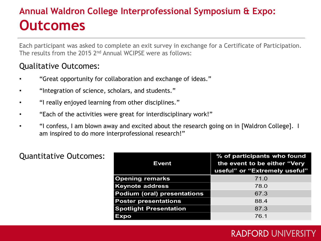### **Annual Waldron College Interprofessional Symposium & Expo: Outcomes**

Each participant was asked to complete an exit survey in exchange for a Certificate of Participation. The results from the 2015 2nd Annual WCIPSE were as follows:

#### Qualitative Outcomes:

- "Great opportunity for collaboration and exchange of ideas."
- "Integration of science, scholars, and students."
- "I really enjoyed learning from other disciplines."
- "Each of the activities were great for interdisciplinary work!"
- "I confess, I am blown away and excited about the research going on in [Waldron College]. I am inspired to do more interprofessional research!"

| Event                              | % of participants who found<br>the event to be either "Very<br>useful" or "Extremely useful" |
|------------------------------------|----------------------------------------------------------------------------------------------|
| <b>Opening remarks</b>             | 71.0                                                                                         |
| <b>Keynote address</b>             | 78.0                                                                                         |
| <b>Podium (oral) presentations</b> | 67.3                                                                                         |
| <b>Poster presentations</b>        | 88.4                                                                                         |
| <b>Spotlight Presentation</b>      | 87.3                                                                                         |
| Expo                               | 76.1                                                                                         |

#### Quantitative Outcomes: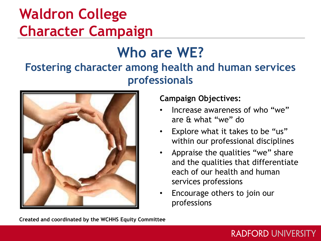## **Waldron College Character Campaign**

### **Who are WE? Fostering character among health and human services professionals**



#### **Campaign Objectives:**

- Increase awareness of who "we" are & what "we" do
- Explore what it takes to be "us" within our professional disciplines
- Appraise the qualities "we" share and the qualities that differentiate each of our health and human services professions

**RADFORD UNIVERSITY** 

• Encourage others to join our professions

**Created and coordinated by the WCHHS Equity Committee**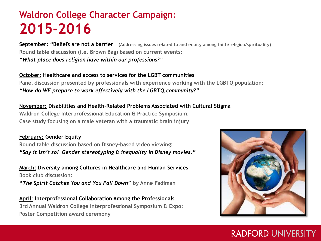### **Waldron College Character Campaign: 2015-2016**

**September: "Beliefs are not a barrier" (Addressing issues related to and equity among faith/religion/spirituality) Round table discussion (i.e. Brown Bag) based on current events:**  *"What place does religion have within our professions?"*

**October: Healthcare and access to services for the LGBT communities Panel discussion presented by professionals with experience working with the LGBTQ population:** *"How do WE prepare to work effectively with the LGBTQ community?"*

**November: Disabilities and Health-Related Problems Associated with Cultural Stigma Waldron College Interprofessional Education & Practice Symposium: Case study focusing on a male veteran with a traumatic brain injury** 

#### **February: Gender Equity**

**Round table discussion based on Disney-based video viewing:** *"Say it isn't so! Gender stereotyping & inequality in Disney movies."*

**March: Diversity among Cultures in Healthcare and Human Services Book club discussion:** 

**"***The Spirit Catches You and You Fall Down***" by Anne Fadiman**

**April: Interprofessional Collaboration Among the Professionals 3rd Annual Waldron College Interprofessional Symposium & Expo: Poster Competition award ceremony**